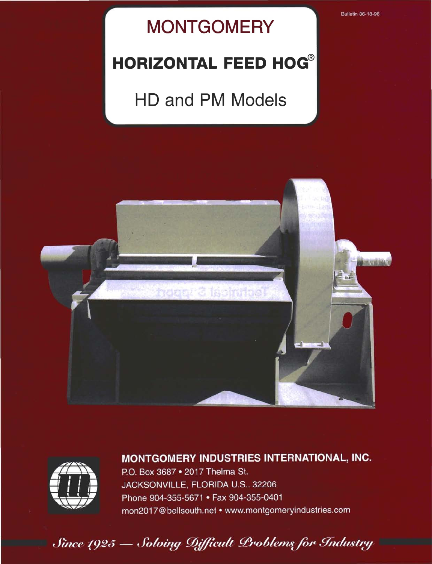#### **Bulletin 86-18-96**

## **MONTGOMERY**

## HORIZONTAL FEED HOG®

# HD and PM Models





#### MONTGOMERY INDUSTRIES INTERNATIONAL, INC.

P.O. Box 3687 . 2017 Thelma St. JACKSONVILLE, FLORIDA U.S., 32206 Phone 904-355-5671 . Fax 904-355-0401 mon2017@bellsouth.net • www.montgomeryindustries.com

Since 1925 - Solving Difficult Problems for Industry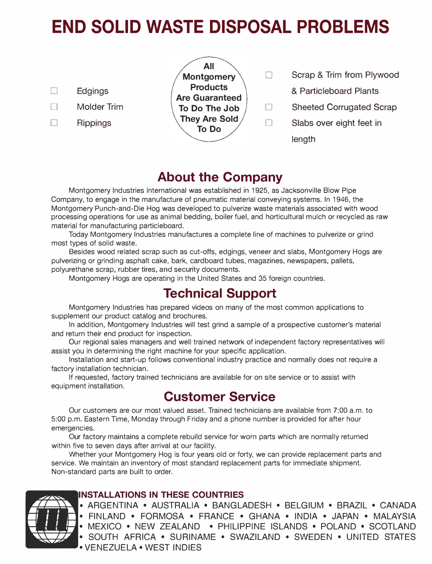# END SOLID WASTE DISPOSAL PROBLEMS

All <sup>0</sup>Edgings Products & Particleboard Plants Are Guaranteed □ Rippings **They Are Sold**<br>
To Do

- Montgomery  $\Box$  Scrap & Trim from Plywood
	-
- $\Box$  Molder Trim  $\Box$  To Do The Job  $\Box$  Sheeted Corrugated Scrap
	- $\Box$  Slabs over eight feet in length

## About the Company

Montgomery Industries International was established in 1925, as Jacksonville Blow Pipe Company, to engage in the manufacture of pneumatic material conveying systems. In 1946, the Montgomery Punch-and-Die Hog was developed to pulverize waste materials associated with wood processing operations for use as animal bedding, boiler fuel, and horticultural mulch or recycled as raw material for manufacturing particleboard.

Today Montgomery Industries manufactures a complete line of machines to pulverize or grind most types of solid waste.

Besides wood related scrap such as cut-ofts, edgings, veneer and slabs, Montgomery Hogs are pulverizing or grinding asphalt cake, bark, cardboard tubes, magazines, newspapers, pallets, polyurethane scrap, rubber tires, and security documents.

Montgomery Hogs are operating in the United States and 35 foreign countries.

### Technical Support

Montgomery Industries has prepared videos on many of the most common applications to supplement our product catalog and brochures.

In addition, Montgomery Industries will test grind a sample of a prospective customer's material and return their end product for inspection.

Our regional sales managers and well trained network of independent factory representatives will assist you in determining the right machine for your specific application.

Installation and start-up follows conventional industry practice and normally does not require a factory installation technician.

If requested, factory trained technicians are available for on site service or to assist with equipment installation.

## Customer Service

Our customers are our most valued asset. Trained technicians are available from 7:00 a.m. to 5:00 p.m. Eastern Time, Monday through Friday and a phone number is provided for after hour emergencies.

Our factory maintains a complete rebuild service for worn parts which are normally returned within five to seven days after arrival at our facility.

Whether your Montgomery Hog is four years old or forty, we can provide replacement parts and service. We maintain an inventory of most standard replacement parts for immediate shipment. Non-standard parts are built to order.

# $\blacksquare$

#### INSTALLATIONS IN THESE COUNTRIES

ARGENTINA • AUSTRALIA • BANGLADESH • BELGIUM • BRAZIL • CANADA • FINLAND • FORMOSA • FRANCE • GHANA • INDIA • JAPAN • MALAYSIA • MEXICO • NEW ZEALAND • PHILIPPINE ISLANDS • POLAND • SCOTLAND • SOUTH AFRICA • SURINAME • SWAZILAND • SWEDEN • UNITED STATES • VENEZUELA • WEST INDIES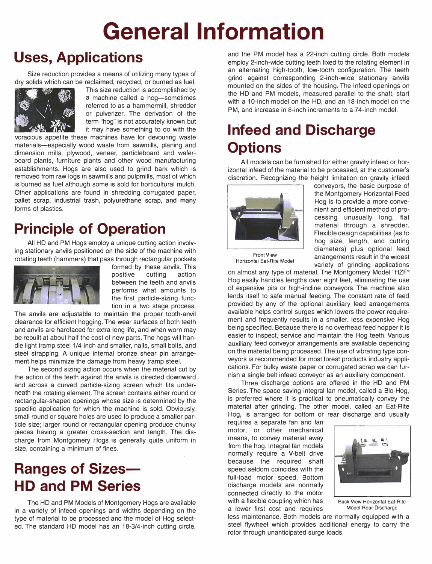# General Information

## Uses, Applications

Size reduction provides a means of utilizing many types of dry solids which can be reclaimed, recycled, or burned as fuel.



This size reduction is accomplished by a machine called a hog-sometimes referred to as a hammermill, shredder or pulverizer. The derivation of the term "hog" is not accurately known but it may have something to do with the

voracious appetite these machines have for devouring waste materials-especially wood waste from sawmills, planing and dimension mills, plywood, veneer, particleboard and waferboard plants, furniture plants and other wood manufacturing establishments. Hogs are also used to grind bark which is removed from raw logs in sawmills and pulpmills, most of which is burned as fuel although some is sold for horticultural mulch. Other applications are found in shredding corrugated paper, pallet scrap, industrial trash, polyurethane scrap, and many forms of plastics.

## Principle of Operation

All HD and PM Hogs employ a unique cutting action involving stationary anvils positioned on the side of the machine with rotating teeth (hammers) that pass through rectangular pockets



formed by these anvils. This positive cutting action between the teeth and anvils performs what amounts to the first particle-sizing function in a two stage process.

The anvils are adjustable to maintain the proper tooth-anvil clearance for efficient hogging. The wear surfaces of both teeth and anvils are hardfaced for extra long life, and when worn may be rebuilt at about half the cost of new parts. The hogs will handle light tramp steel 1/4-inch and smaller, nails, small bolts, and steel strapping. A unique internal bronze shear pin arrangement helps minimize the damage from heavy tramp steel.

The second sizing action occurs when the material cut by the action of the teeth against the anvils is directed downward. and across a curved particle-sizing screen which fits underneath the rotating element. The screen contains either round or rectangular-shaped openings whose size is determined by the specific application for which the machine is sold. Obviously, small round or square holes are used to produce a smaller particle size; larger round or rectangular opening produce chunky pieces having a greater cross-section and length. The discharge from Montgomery Hogs is generally quite uniform in size, containing a minimum of fines.

## **Ranges of Sizes-**HD and PM Series

The HD and PM Models of Montgomery Hogs are available in a variety of infeed openings and widths depending on the type of material to be processed and the model of Hog selected. The standard HD model has an 18-3/4-inch cutting circle, and the PM model has a 22-inch cutting circle. Both models employ 2-inch-wide cutting teeth fixed to the rotating element in an alternating high-tooth, low-tooth configuration. The teeth grind against corresponding 2-inch-wide stationary anvils mounted on the sides of the housing. The infeed openings on the HD and PM models, measured parallel to the shaft, start with a 10-inch model on the HD, and an 18-inch model on the PM, and increase in 8-inch increments to a 74-inch model.

## Infeed and Discharge **Options**

All models can be furnished for either gravity infeed or horizontal infeed of the material to be processed, at the customer's discretion. Recognizing the height limitation on gravity infeed



conveyors, the basic purpose of the Montgomery Horizontal Feed Hog is to provide a more convenient and efficient method of processing unusually long, flat material through a shredder. Flexible design capabilities (as to hog size, length, and cutting diameters) plus optional feed arrangements result in the widest variety of grinding applications

Front View Horizontal Eat-Rite Model

on almost any type of material. The Montgomery Model "HZF" Hog easily handles lengths over eight feet, eliminating the use of expensive pits or high-incline conveyors. The machine also lends itself to safe manual feeding. The constant rate of feed provided by any of the optional auxiliary feed arrangements available helps control surges which lowers the power requirement and frequently results in a smaller, less expensive Hog being specified. Because there is no overhead feed hopper it is easier to inspect, service and maintain the Hog teeth. Various auxiliary feed conveyor arrangements are available depending on the material being processed. The use of vibrating type conveyors is recommended for most forest products industry applications. For bulky waste paper or corrugated scrap we can furnish a single belt infeed conveyor as an auxiliary component.

Three discharge options are offered in the HD and PM Series. The space saving integral fan model, called a Blo-Hog, is preferred where it is practical to pneumatically convey the material after grinding. The other model, called an Eat-Rite Hog, is arranged for bottom or rear discharge and usually

requires a separate fan and fan motor, or other mechanical means, to convey material away from the hog. Integral fan models normally require a V-belt drive because the required shaft speed seldom coincides with the full-load motor speed. Bottom discharge models are normally connected directly to the motor with a flexible coupling which has Back View Horizontal Eat-Rite a lower first cost and requires Model Rear Discharge



less maintenance. Both models are normally equipped with a steel flywheel which provides additional energy to carry the rotor through unanticipated surge loads.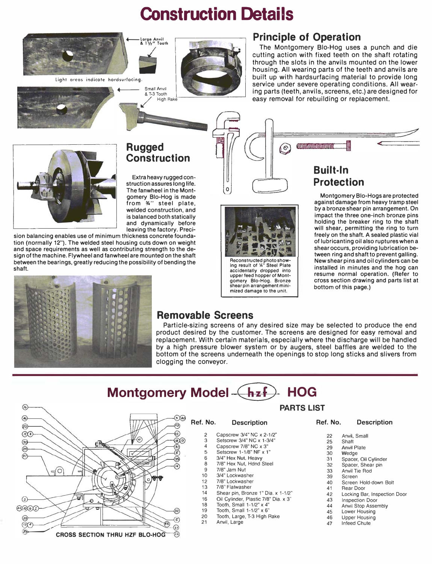# Construction Details







 $\circ$ 

#### Principle of Operation

The Montgomery Sio-Hog uses a punch and die cutting action with fixed teeth on the shaft rotating through the slots in the anvils mounted on the lower housing. All wearing parts of the teeth and anvils are built up with hardsurfacing material to provide long service under severe operating conditions. All wearing parts (teeth, anvils, screens, etc.) are designed for easy removal for rebuilding or replacement.



#### Rugged **Construction**

Small Anvil / & T-3 Tooth

Extra heavy rugged construction assures long life. The fanwheel in the Montgomery Blo-Hog is made from '%" steel plate, welded construction, and is balanced both statically and dynamically before leaving the factory. Preci-

sion balancing enables use of minimum thickness concrete foundation (normally 12"). The welded steel housing cuts down on weight and space requirements as well as contributing strength to the design of the machine. Flywheel and fanwheel are mounted on the shaft between the bearings, greatly reducing the possibility of bending the shaft.



Reconstructed photo show-Ing result of \4" Steel Plate accidentally dropped into upper feed hopper of Mont-gomery Blo-Hog. Bronze shear pin arrangement minimized damage to the unit.

#### Built·ln Protection

*THOMANNIANNONIANI* 

 $\Omega$ 

Montgomery Blo-Hogs are protected against damage from heavy tramp steel by a bronze shear pin arrangement. On impact the three one-inch bronze pins holding the breaker ring to the shaft will shear, permitting the ring to turn freely on the shaft. A sealed plastic vial of lubricanting oil also ruptures when a shear occurs, providing lubrication between ring and shaft to prevent galling. New shear pins and oil cylinders can be installed in minutes and the hog can resume normal operation. (Refer to cross section drawing and parts list at bottom of this page.)

 $\epsilon$ 



#### Removable Screens

Particle-sizing screens of any desired size may be selected to produce the end product desired by the customer. The screens are designed for easy removal and replacement. With certain materials, especially where the discharge will be handled by a high pressure blower system or by augers, steel baffles are welded to the bottom of the screens underneath the openings to stop long sticks and slivers from clogging the conveyor.

## Montgomery Model  $\leftarrow$  hzf $\leftarrow$  HOG



#### PARTS LIST

Ref. No. Description

- 2 Capscrew 3/4" NC x 2-1/2"<br>3 Setscrew 3/4" NC x 1-3/4"
	- Setscrew 3/4" NC x 1-3/4"
- 4 Capscrew  $7/8$ " NC  $\times$  3"<br>5 Setscrew 1-1/8" NF  $\times$  1
- 5 Setscrew 1-1/8" NF x 1"<br>6 3/4" Hex Nut. Heavy 3/4" Hex Nut, Heavy
	-
- 8 7/8" Hex Nut, Hdnd Steel<br>9 7/8" Jam Nut
- 9 7/8" Jam Nut<br>10 3/4" Lockwas 3/4" Lockwasher
- 
- 12 7/8" Lockwasher<br>13 7/8" Flatwasher
- 13 7/8" Flatwasher<br>14 Shear pin, Bron. 14 Shear pin, Bronze 1" Dia. x 1-1/2"<br>16 Oil Cylinder, Plastic 7/8" Dia. x 3"
- 16 Oil Cylinder, Plastic 7/8" Dia. x 3"
- 18 Tooth, Small 1-112" x 4"
- 19 Tooth, Small  $1-1/2$ " x 6"<br>20 Tooth Large T-3 High I
- Tooth, Large, T-3 High Rake
- 21 Anvil, Large
- Ref. No. Description
	- 22 Anvil, Small<br>25 Shaft
	- 25 Shaft<br>29 Anvil **Anvil Plate**
	-
	- 30 Wedge<br>31 Spacer.
	- 31 Spacer, Oil Cylinder<br>32 Spacer Shear pin Spacer, Shear pin
	- 33 Anvil Tie Rod
	- 39 Screen<br>40 Screen
	- 40 Screen Hold-down Bolt<br>41 Rear Door
	- 41 Rear Door<br>42 Locking Ba
	- 42 Locking Bar, Inspection Door<br>43 Inspection Door
	- 43 Inspection Door<br>44 Anvil Stop Asset
	- 44 Anvil Stop Assembly<br>45 Lower Housing
	- 45 Lower Housing<br>46 Linner Housing
	- 46 Upper Housing<br>47 Infeed Chute
	- Infeed Chute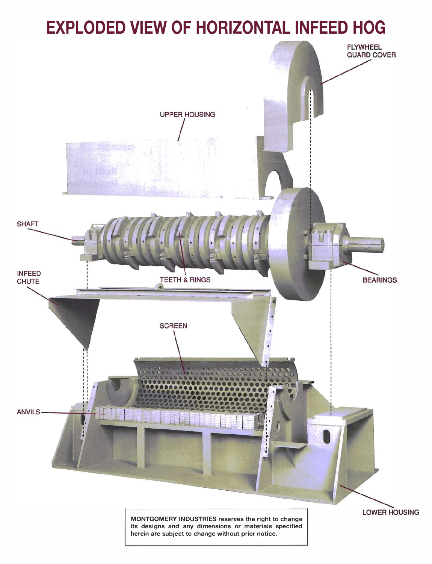